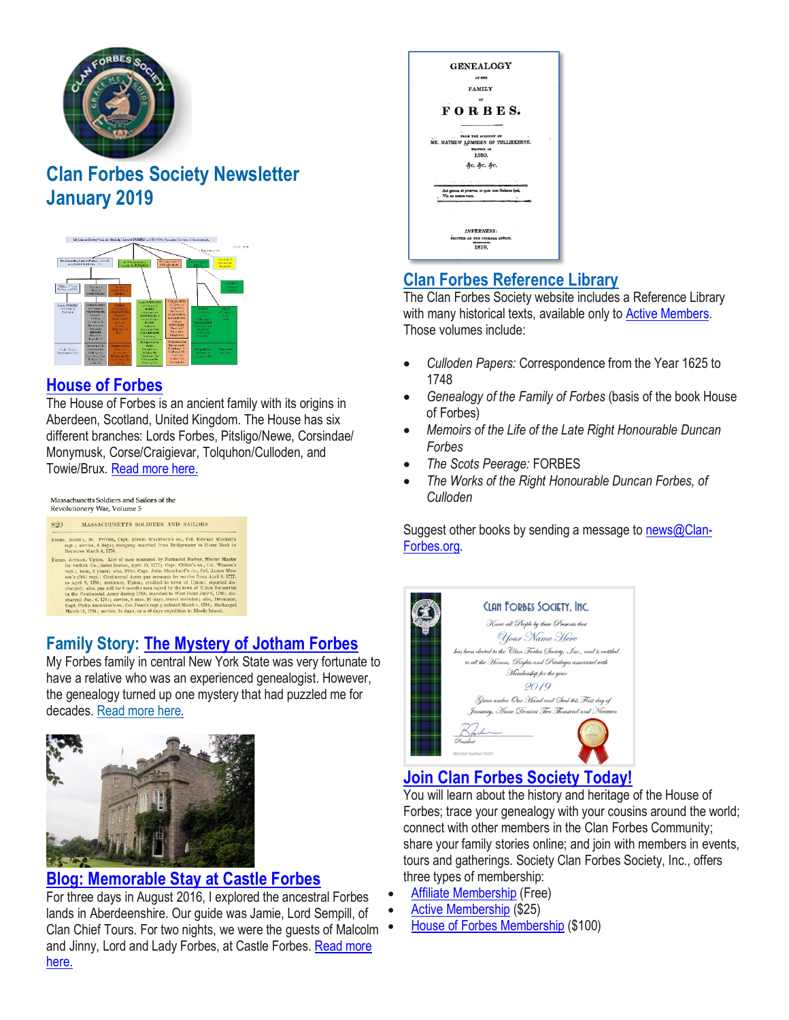

# **Clan Forbes Society Newsletter January 2019**



#### **House of [Forbes](https://www.clan-forbes.org/house-of-forbes)**

The House of Forbes is an ancient family with its origins in Aberdeen, Scotland, United Kingdom. The House has six different branches: Lords Forbes, Pitsligo/Newe, Corsindae/ Monymusk, Corse/Craigievar, Tolquhon/Culloden, and Towie/Brux. [Read](https://www.clan-forbes.org/) more here.

| 820 | MASSACHUSETTS SOLDIERS AND SAILORS                                                                                                                                                                                                                                                                                                                                                                                      |
|-----|-------------------------------------------------------------------------------------------------------------------------------------------------------------------------------------------------------------------------------------------------------------------------------------------------------------------------------------------------------------------------------------------------------------------------|
|     | FORES, JOSHUA, Jr. Private, Capt. Abram Washburn's co., Col. Edward Mitchell's<br>regt.: service, 6 days: company marched from Bridgewater to Horse Neck in<br>Braintree March 4, 1776.                                                                                                                                                                                                                                 |
|     | FOBES, JOTHAM, Upton. List of men mustered by Nathaniel Barber, Muster Master<br>for Suffolk Co., dated Boston, April 13, 1777; Capt. Childs's co., Col. Wesson's<br>regt.; term, 3 years; also, Fifer, Capt. John Blanchard's co., Col. James Wes-<br>son's (9th) regt.; Continental Army pay accounts for service from April 8, 1777,<br>to April 8, 1780; residence, Upton; credited to town of Upton; reported dis- |
|     | charged; also, pay roll for 6 months men raised by the town of Upton for service<br>in the Continental Army during 1780; marched to West Point July 6, 1780; dis-<br>charged Jan. 6, 1781; service, 6 mos. 10 days, travel included; also, Drummer,                                                                                                                                                                     |
|     | Capt. Philip Ammidon's co., Col. Dean's regt.; enlisted March 4, 1781; discharged<br>March 18, 1781; service, 14 days, on a 40 days expedition to Rhode Island.                                                                                                                                                                                                                                                         |

## **Family Story: The [Mystery](https://www.clan-forbes.org/story-bforbes-181231) of Jotham Forbes**

My Forbes family in central New York State was very fortunate to have a relative who was an experienced genealogist. However, the genealogy turned up one mystery that had puzzled me for decades. [Read](https://www.clan-forbes.org/story-bforbes-181231) more here.



#### **Blog: [Memorable](https://www.clan-forbes.org/blog/memorable-stay-at-castle-forbes) Stay at Castle Forbes**

For three days in August 2016, I explored the ancestral Forbes lands in Aberdeenshire. Our guide was Jamie, Lord Sempill, of Clan Chief Tours. For two nights, we were the guests of Malcolm and Jinny, Lord and Lady Forbes, at Castle Forbes. [Read](https://www.clan-forbes.org/blog/memorable-stay-at-castle-forbes) more [here.](https://www.clan-forbes.org/blog/memorable-stay-at-castle-forbes)

| <b>GENEALOGY</b>                                                                        |
|-----------------------------------------------------------------------------------------|
| <b>OF THE</b>                                                                           |
| <b>FAMILY</b>                                                                           |
| OP                                                                                      |
| FORBES.                                                                                 |
| FROM THE ACCOUNT OF<br>MR. MATHEW LUMSDEN OF TULLIEKERNE.<br><b>WAITERN IN</b><br>1580. |
| &с. &с. &с.                                                                             |
|                                                                                         |
| Sed genus, et prosvos, et quae non fecimus ipsi,<br>Vix ea nostra voco.                 |
|                                                                                         |
| <b>INVERNESS:</b>                                                                       |
| PRINTED AT THE JOURNAL OFFICE.                                                          |
|                                                                                         |

### **[Clan Forbes Reference Library](https://www.clan-forbes.org/library)**

The Clan Forbes Society website includes a Reference Library with many historical texts, available only to Active Members. Those volumes include:

- *Culloden Papers:* Correspondence from the Year 1625 to 1748
- *Genealogy of the Family of Forbes* (basis of the book House of Forbes)
- *Memoirs of the Life of the Late Right Honourable Duncan Forbes*
- *The Scots Peerage:* FORBES
- *The Works of the Right Honourable Duncan Forbes, of Culloden*

Suggest other books by sending a message to [news@Clan-](mailto:news@Clan-Forbes.org)[Forbes.org.](mailto:news@Clan-Forbes.org)



## **Join Clan Forbes [Society](https://www.clan-forbes.org/join) Today!**

You will learn about the history and heritage of the House of Forbes; trace your genealogy with your cousins around the world; connect with other members in the Clan Forbes Community; share your family stories online; and join with members in events, tours and gatherings. Society Clan Forbes Society, Inc., offers three types of membership:

- Affiliate [Membership](https://www.clan-forbes.org/affiliate) (Free)
- Active [Membership](https://www.clan-forbes.org/active-membership) (\$25)
- House of Forbes [Membership](https://www.clan-forbes.org/house-of-forbes-member) (\$100)